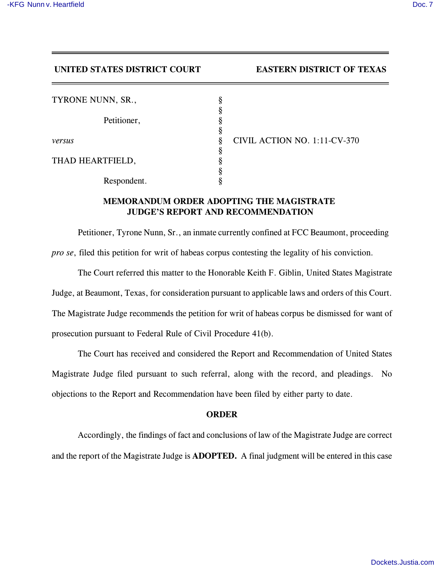## **UNITED STATES DISTRICT COURT EASTERN DISTRICT OF TEXAS**

| ş |
|---|
| ş |
| § |
| ş |
| § |
| § |
| ş |
| ş |
| § |
|   |

*versus* § CIVIL ACTION NO. 1:11-CV-370

## **MEMORANDUM ORDER ADOPTING THE MAGISTRATE JUDGE'S REPORT AND RECOMMENDATION**

Petitioner, Tyrone Nunn, Sr., an inmate currently confined at FCC Beaumont, proceeding *pro se*, filed this petition for writ of habeas corpus contesting the legality of his conviction.

The Court referred this matter to the Honorable Keith F. Giblin, United States Magistrate Judge, at Beaumont, Texas, for consideration pursuant to applicable laws and orders of this Court. The Magistrate Judge recommends the petition for writ of habeas corpus be dismissed for want of prosecution pursuant to Federal Rule of Civil Procedure 41(b).

The Court has received and considered the Report and Recommendation of United States Magistrate Judge filed pursuant to such referral, along with the record, and pleadings. No objections to the Report and Recommendation have been filed by either party to date.

## **ORDER**

Accordingly, the findings of fact and conclusions of law of the Magistrate Judge are correct and the report of the Magistrate Judge is **ADOPTED.** A final judgment will be entered in this case